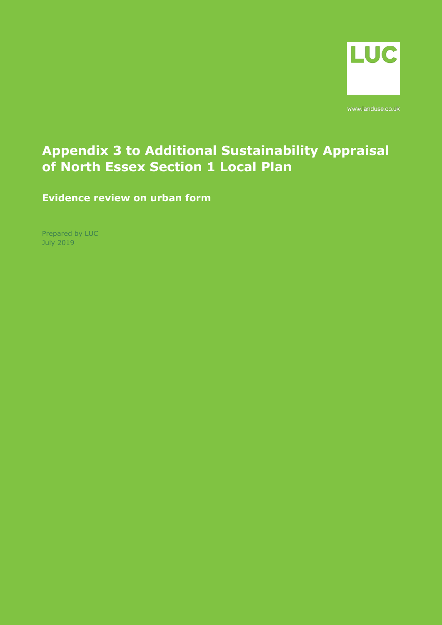

www.landuse.co.uk

# **Appendix 3 to Additional Sustainability Appraisal of North Essex Section 1 Local Plan**

**Evidence review on urban form**

Prepared by LUC July 2019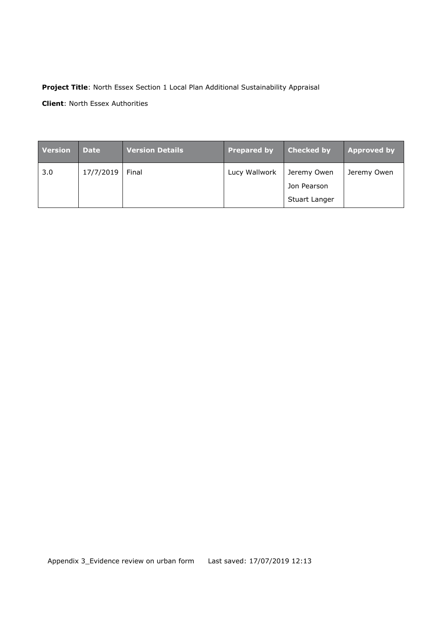### **Project Title**: North Essex Section 1 Local Plan Additional Sustainability Appraisal

**Client**: North Essex Authorities

| <b>Version</b> | Date      | Version Details | <b>Prepared by</b> | <b>Checked by</b> | <b>Approved by</b> |
|----------------|-----------|-----------------|--------------------|-------------------|--------------------|
| 3.0            | 17/7/2019 | Final           | Lucy Wallwork      | Jeremy Owen       | Jeremy Owen        |
|                |           |                 |                    | Jon Pearson       |                    |
|                |           |                 |                    | Stuart Langer     |                    |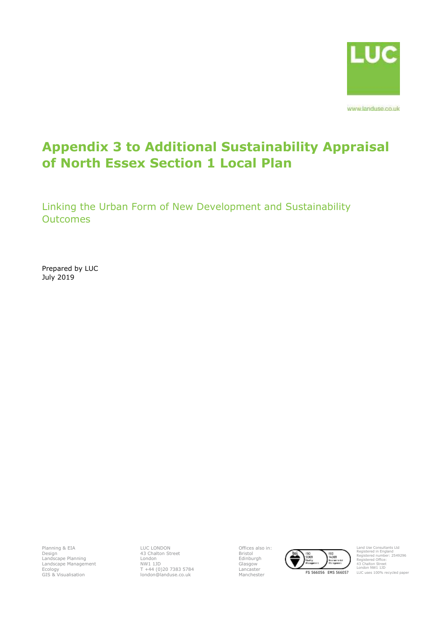

www.landuse.co.uk

# **Appendix 3 to Additional Sustainability Appraisal of North Essex Section 1 Local Plan**

Linking the Urban Form of New Development and Sustainability **Outcomes** 

Prepared by LUC July 2019

Planning & EIA Design Landscape Planning Landscape Management Ecology GIS & Visualisation

LUC LONDON 43 Chalton Street London NW1 1JD T +44 (0)20 7383 5784 london@landuse.co.uk Offices also in: Bristol Edinburgh Glasgow Lancaster



Land Use Consultants Ltd Registered in England Registered number: 2549296 Registered Office: 43 Chalton Street London NW1 1JD LUC uses 100% recycled paper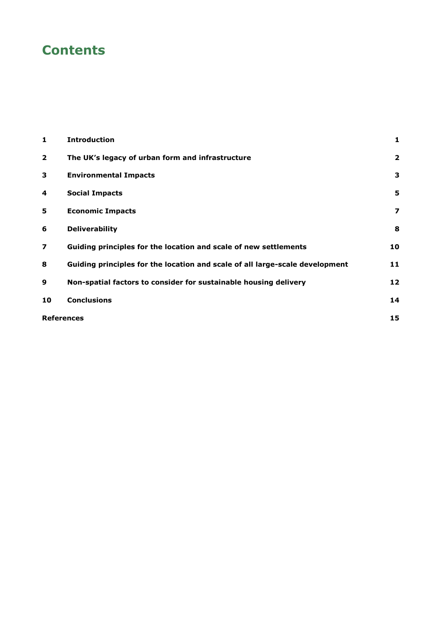# **Contents**

| 1                       | <b>Introduction</b>                                                          | 1                       |
|-------------------------|------------------------------------------------------------------------------|-------------------------|
| $\overline{2}$          | The UK's legacy of urban form and infrastructure                             | $\overline{\mathbf{2}}$ |
| 3                       | <b>Environmental Impacts</b>                                                 | 3                       |
| 4                       | <b>Social Impacts</b>                                                        | 5                       |
| 5                       | <b>Economic Impacts</b>                                                      | 7                       |
| 6                       | <b>Deliverability</b>                                                        | 8                       |
| $\overline{\mathbf{z}}$ | Guiding principles for the location and scale of new settlements             | 10                      |
| 8                       | Guiding principles for the location and scale of all large-scale development | 11                      |
| 9                       | Non-spatial factors to consider for sustainable housing delivery             | 12                      |
| 10                      | <b>Conclusions</b>                                                           | 14                      |
| <b>References</b>       |                                                                              | 15                      |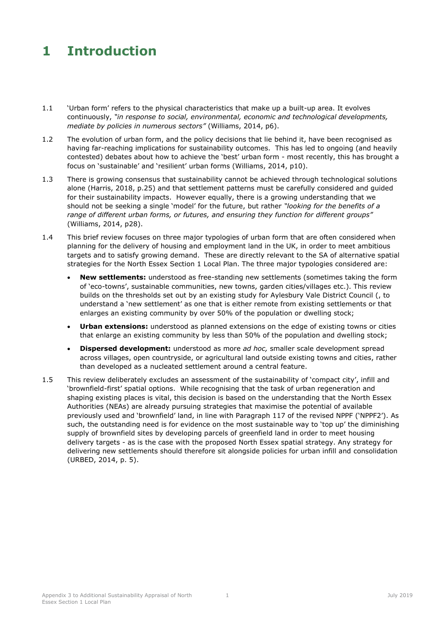### <span id="page-5-0"></span>**1 Introduction**

- 1.1 'Urban form' refers to the physical characteristics that make up a built-up area. It evolves continuously, *"in response to social, environmental, economic and technological developments, mediate by policies in numerous sectors"* (Williams, 2014, p6).
- 1.2 The evolution of urban form, and the policy decisions that lie behind it, have been recognised as having far-reaching implications for sustainability outcomes. This has led to ongoing (and heavily contested) debates about how to achieve the 'best' urban form - most recently, this has brought a focus on 'sustainable' and 'resilient' urban forms (Williams, 2014, p10).
- 1.3 There is growing consensus that sustainability cannot be achieved through technological solutions alone (Harris, 2018, p.25) and that settlement patterns must be carefully considered and guided for their sustainability impacts. However equally, there is a growing understanding that we should not be seeking a single 'model' for the future, but rather *"looking for the benefits of a range of different urban forms, or futures, and ensuring they function for different groups"* (Williams, 2014, p28).
- 1.4 This brief review focuses on three major typologies of urban form that are often considered when planning for the delivery of housing and employment land in the UK, in order to meet ambitious targets and to satisfy growing demand. These are directly relevant to the SA of alternative spatial strategies for the North Essex Section 1 Local Plan. The three major typologies considered are:
	- **New settlements:** understood as free-standing new settlements (sometimes taking the form of 'eco-towns', sustainable communities, new towns, garden cities/villages etc.). This review builds on the thresholds set out by an existing study for Aylesbury Vale District Council (, to understand a 'new settlement' as one that is either remote from existing settlements or that enlarges an existing community by over 50% of the population or dwelling stock;
	- **Urban extensions:** understood as planned extensions on the edge of existing towns or cities that enlarge an existing community by less than 50% of the population and dwelling stock;
	- **Dispersed development:** understood as more *ad hoc,* smaller scale development spread across villages, open countryside, or agricultural land outside existing towns and cities, rather than developed as a nucleated settlement around a central feature.
- 1.5 This review deliberately excludes an assessment of the sustainability of 'compact city', infill and 'brownfield-first' spatial options. While recognising that the task of urban regeneration and shaping existing places is vital, this decision is based on the understanding that the North Essex Authorities (NEAs) are already pursuing strategies that maximise the potential of available previously used and 'brownfield' land, in line with Paragraph 117 of the revised NPPF ('NPPF2'). As such, the outstanding need is for evidence on the most sustainable way to 'top up' the diminishing supply of brownfield sites by developing parcels of greenfield land in order to meet housing delivery targets - as is the case with the proposed North Essex spatial strategy. Any strategy for delivering new settlements should therefore sit alongside policies for urban infill and consolidation (URBED, 2014, p. 5).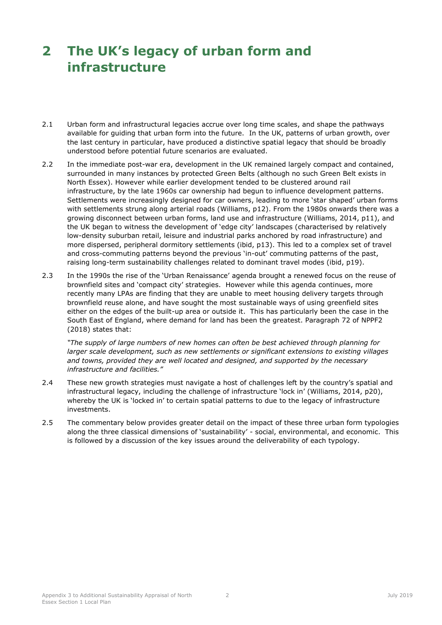# <span id="page-6-0"></span>**2 The UK's legacy of urban form and infrastructure**

- 2.1 Urban form and infrastructural legacies accrue over long time scales, and shape the pathways available for guiding that urban form into the future. In the UK, patterns of urban growth, over the last century in particular, have produced a distinctive spatial legacy that should be broadly understood before potential future scenarios are evaluated.
- 2.2 In the immediate post-war era, development in the UK remained largely compact and contained, surrounded in many instances by protected Green Belts (although no such Green Belt exists in North Essex). However while earlier development tended to be clustered around rail infrastructure, by the late 1960s car ownership had begun to influence development patterns. Settlements were increasingly designed for car owners, leading to more 'star shaped' urban forms with settlements strung along arterial roads (Williams, p12). From the 1980s onwards there was a growing disconnect between urban forms, land use and infrastructure (Williams, 2014, p11), and the UK began to witness the development of 'edge city' landscapes (characterised by relatively low-density suburban retail, leisure and industrial parks anchored by road infrastructure) and more dispersed, peripheral dormitory settlements (ibid, p13). This led to a complex set of travel and cross-commuting patterns beyond the previous 'in-out' commuting patterns of the past, raising long-term sustainability challenges related to dominant travel modes (ibid, p19).
- 2.3 In the 1990s the rise of the 'Urban Renaissance' agenda brought a renewed focus on the reuse of brownfield sites and 'compact city' strategies. However while this agenda continues, more recently many LPAs are finding that they are unable to meet housing delivery targets through brownfield reuse alone, and have sought the most sustainable ways of using greenfield sites either on the edges of the built-up area or outside it. This has particularly been the case in the South East of England, where demand for land has been the greatest. Paragraph 72 of NPPF2 (2018) states that:

*"The supply of large numbers of new homes can often be best achieved through planning for larger scale development, such as new settlements or significant extensions to existing villages and towns, provided they are well located and designed, and supported by the necessary infrastructure and facilities."*

- 2.4 These new growth strategies must navigate a host of challenges left by the country's spatial and infrastructural legacy, including the challenge of infrastructure 'lock in' (Williams, 2014, p20), whereby the UK is 'locked in' to certain spatial patterns to due to the legacy of infrastructure investments.
- 2.5 The commentary below provides greater detail on the impact of these three urban form typologies along the three classical dimensions of 'sustainability' - social, environmental, and economic. This is followed by a discussion of the key issues around the deliverability of each typology.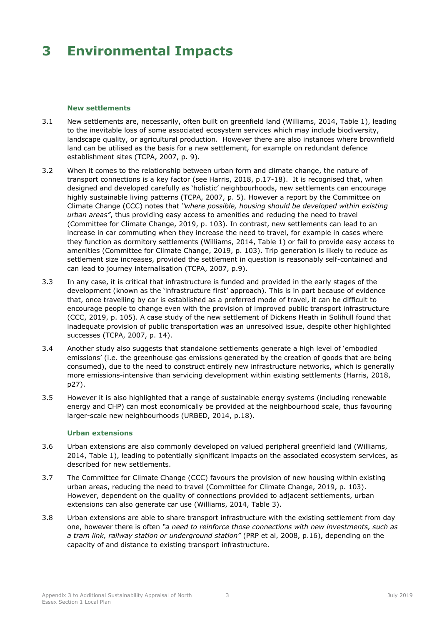## <span id="page-7-0"></span>**3 Environmental Impacts**

#### **New settlements**

- 3.1 New settlements are, necessarily, often built on greenfield land (Williams, 2014, Table 1), leading to the inevitable loss of some associated ecosystem services which may include biodiversity, landscape quality, or agricultural production. However there are also instances where brownfield land can be utilised as the basis for a new settlement, for example on redundant defence establishment sites (TCPA, 2007, p. 9).
- 3.2 When it comes to the relationship between urban form and climate change, the nature of transport connections is a key factor (see Harris, 2018, p.17-18). It is recognised that, when designed and developed carefully as 'holistic' neighbourhoods, new settlements can encourage highly sustainable living patterns (TCPA, 2007, p. 5). However a report by the Committee on Climate Change (CCC) notes that *"where possible, housing should be developed within existing urban areas"*, thus providing easy access to amenities and reducing the need to travel (Committee for Climate Change, 2019, p. 103). In contrast, new settlements can lead to an increase in car commuting when they increase the need to travel, for example in cases where they function as dormitory settlements (Williams, 2014, Table 1) or fail to provide easy access to amenities (Committee for Climate Change, 2019, p. 103). Trip generation is likely to reduce as settlement size increases, provided the settlement in question is reasonably self-contained and can lead to journey internalisation (TCPA, 2007, p.9).
- 3.3 In any case, it is critical that infrastructure is funded and provided in the early stages of the development (known as the 'infrastructure first' approach). This is in part because of evidence that, once travelling by car is established as a preferred mode of travel, it can be difficult to encourage people to change even with the provision of improved public transport infrastructure (CCC, 2019, p. 105). A case study of the new settlement of Dickens Heath in Solihull found that inadequate provision of public transportation was an unresolved issue, despite other highlighted successes (TCPA, 2007, p. 14).
- 3.4 Another study also suggests that standalone settlements generate a high level of 'embodied emissions' (i.e. the greenhouse gas emissions generated by the creation of goods that are being consumed), due to the need to construct entirely new infrastructure networks, which is generally more emissions-intensive than servicing development within existing settlements (Harris, 2018, p27).
- 3.5 However it is also highlighted that a range of sustainable energy systems (including renewable energy and CHP) can most economically be provided at the neighbourhood scale, thus favouring larger-scale new neighbourhoods (URBED, 2014, p.18).

### **Urban extensions**

- 3.6 Urban extensions are also commonly developed on valued peripheral greenfield land (Williams, 2014, Table 1), leading to potentially significant impacts on the associated ecosystem services, as described for new settlements.
- 3.7 The Committee for Climate Change (CCC) favours the provision of new housing within existing urban areas, reducing the need to travel (Committee for Climate Change, 2019, p. 103). However, dependent on the quality of connections provided to adjacent settlements, urban extensions can also generate car use (Williams, 2014, Table 3).
- 3.8 Urban extensions are able to share transport infrastructure with the existing settlement from day one, however there is often *"a need to reinforce those connections with new investments, such as a tram link, railway station or underground station"* (PRP et al, 2008, p.16), depending on the capacity of and distance to existing transport infrastructure.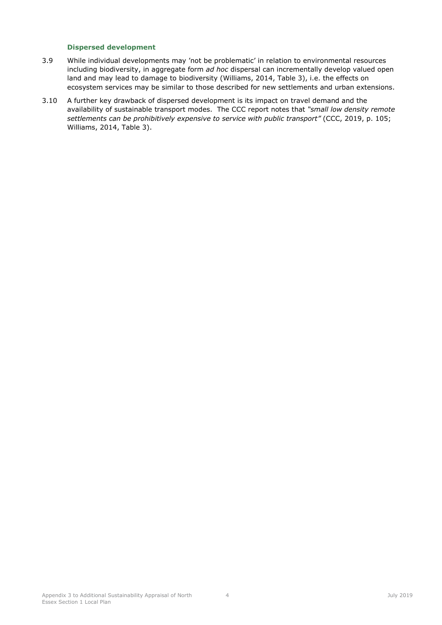### **Dispersed development**

- 3.9 While individual developments may 'not be problematic' in relation to environmental resources including biodiversity, in aggregate form *ad hoc* dispersal can incrementally develop valued open land and may lead to damage to biodiversity (Williams, 2014, Table 3), i.e. the effects on ecosystem services may be similar to those described for new settlements and urban extensions.
- 3.10 A further key drawback of dispersed development is its impact on travel demand and the availability of sustainable transport modes. The CCC report notes that *"small low density remote settlements can be prohibitively expensive to service with public transport"* (CCC, 2019, p. 105; Williams, 2014, Table 3).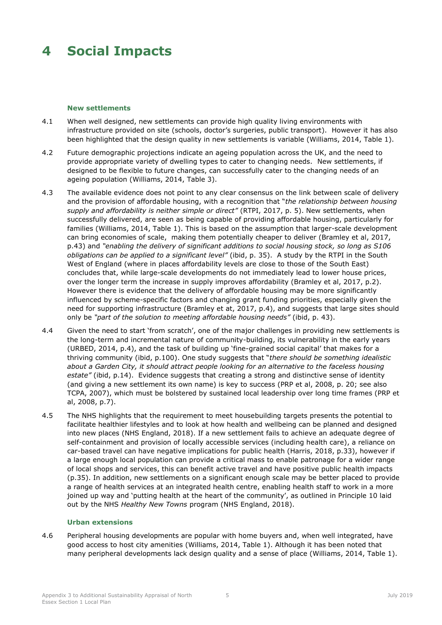## <span id="page-9-0"></span>**4 Social Impacts**

#### **New settlements**

- 4.1 When well designed, new settlements can provide high quality living environments with infrastructure provided on site (schools, doctor's surgeries, public transport). However it has also been highlighted that the design quality in new settlements is variable (Williams, 2014, Table 1).
- 4.2 Future demographic projections indicate an ageing population across the UK, and the need to provide appropriate variety of dwelling types to cater to changing needs. New settlements, if designed to be flexible to future changes, can successfully cater to the changing needs of an ageing population (Williams, 2014, Table 3).
- 4.3 The available evidence does not point to any clear consensus on the link between scale of delivery and the provision of affordable housing, with a recognition that "*the relationship between housing supply and affordability is neither simple or direct"* (RTPI, 2017, p. 5). New settlements, when successfully delivered, are seen as being capable of providing affordable housing, particularly for families (Williams, 2014, Table 1). This is based on the assumption that larger-scale development can bring economies of scale, making them potentially cheaper to deliver (Bramley et al, 2017, p.43) and *"enabling the delivery of significant additions to social housing stock, so long as S106 obligations can be applied to a significant level"* (ibid, p. 35). A study by the RTPI in the South West of England (where in places affordability levels are close to those of the South East) concludes that, while large-scale developments do not immediately lead to lower house prices, over the longer term the increase in supply improves affordability (Bramley et al, 2017, p.2). However there is evidence that the delivery of affordable housing may be more significantly influenced by scheme-specific factors and changing grant funding priorities, especially given the need for supporting infrastructure (Bramley et at, 2017, p.4), and suggests that large sites should only be *"part of the solution to meeting affordable housing needs"* (ibid, p. 43).
- 4.4 Given the need to start 'from scratch', one of the major challenges in providing new settlements is the long-term and incremental nature of community-building, its vulnerability in the early years (URBED, 2014, p.4), and the task of building up 'fine-grained social capital' that makes for a thriving community (ibid, p.100). One study suggests that "*there should be something idealistic about a Garden City, it should attract people looking for an alternative to the faceless housing estate"* (ibid, p.14). Evidence suggests that creating a strong and distinctive sense of identity (and giving a new settlement its own name) is key to success (PRP et al, 2008, p. 20; see also TCPA, 2007), which must be bolstered by sustained local leadership over long time frames (PRP et al, 2008, p.7).
- 4.5 The NHS highlights that the requirement to meet housebuilding targets presents the potential to facilitate healthier lifestyles and to look at how health and wellbeing can be planned and designed into new places (NHS England, 2018). If a new settlement fails to achieve an adequate degree of self-containment and provision of locally accessible services (including health care), a reliance on car-based travel can have negative implications for public health (Harris, 2018, p.33), however if a large enough local population can provide a critical mass to enable patronage for a wider range of local shops and services, this can benefit active travel and have positive public health impacts (p.35). In addition, new settlements on a significant enough scale may be better placed to provide a range of health services at an integrated health centre, enabling health staff to work in a more joined up way and 'putting health at the heart of the community', as outlined in Principle 10 laid out by the NHS *Healthy New Towns* program (NHS England, 2018).

#### **Urban extensions**

4.6 Peripheral housing developments are popular with home buyers and, when well integrated, have good access to host city amenities (Williams, 2014, Table 1). Although it has been noted that many peripheral developments lack design quality and a sense of place (Williams, 2014, Table 1).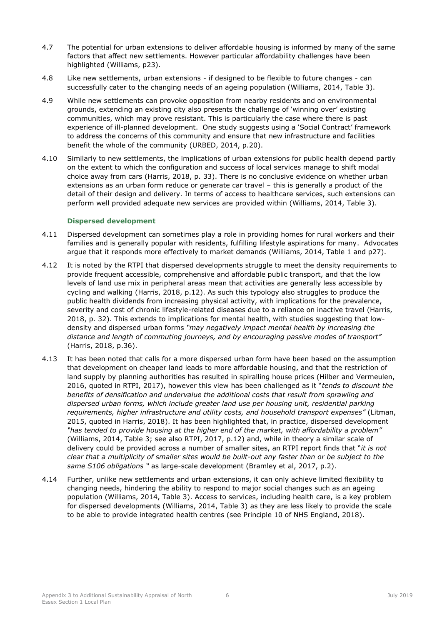- 4.7 The potential for urban extensions to deliver affordable housing is informed by many of the same factors that affect new settlements. However particular affordability challenges have been highlighted (Williams, p23).
- 4.8 Like new settlements, urban extensions if designed to be flexible to future changes can successfully cater to the changing needs of an ageing population (Williams, 2014, Table 3).
- 4.9 While new settlements can provoke opposition from nearby residents and on environmental grounds, extending an existing city also presents the challenge of 'winning over' existing communities, which may prove resistant. This is particularly the case where there is past experience of ill-planned development. One study suggests using a 'Social Contract' framework to address the concerns of this community and ensure that new infrastructure and facilities benefit the whole of the community (URBED, 2014, p.20).
- 4.10 Similarly to new settlements, the implications of urban extensions for public health depend partly on the extent to which the configuration and success of local services manage to shift modal choice away from cars (Harris, 2018, p. 33). There is no conclusive evidence on whether urban extensions as an urban form reduce or generate car travel – this is generally a product of the detail of their design and delivery. In terms of access to healthcare services, such extensions can perform well provided adequate new services are provided within (Williams, 2014, Table 3).

### **Dispersed development**

- 4.11 Dispersed development can sometimes play a role in providing homes for rural workers and their families and is generally popular with residents, fulfilling lifestyle aspirations for many. Advocates argue that it responds more effectively to market demands (Williams, 2014, Table 1 and p27).
- 4.12 It is noted by the RTPI that dispersed developments struggle to meet the density requirements to provide frequent accessible, comprehensive and affordable public transport, and that the low levels of land use mix in peripheral areas mean that activities are generally less accessible by cycling and walking (Harris, 2018, p.12). As such this typology also struggles to produce the public health dividends from increasing physical activity, with implications for the prevalence, severity and cost of chronic lifestyle-related diseases due to a reliance on inactive travel (Harris, 2018, p. 32). This extends to implications for mental health, with studies suggesting that lowdensity and dispersed urban forms *"may negatively impact mental health by increasing the distance and length of commuting journeys, and by encouraging passive modes of transport"* (Harris, 2018, p.36).
- 4.13 It has been noted that calls for a more dispersed urban form have been based on the assumption that development on cheaper land leads to more affordable housing, and that the restriction of land supply by planning authorities has resulted in spiralling house prices (Hilber and Vermeulen, 2016, quoted in RTPI, 2017), however this view has been challenged as it "*tends to discount the benefits of densification and undervalue the additional costs that result from sprawling and dispersed urban forms, which include greater land use per housing unit, residential parking requirements, higher infrastructure and utility costs, and household transport expenses"* (Litman, 2015, quoted in Harris, 2018). It has been highlighted that, in practice, dispersed development *"has tended to provide housing at the higher end of the market, with affordability a problem"*  (Williams, 2014, Table 3; see also RTPI, 2017, p.12) and, while in theory a similar scale of delivery could be provided across a number of smaller sites, an RTPI report finds that "*it is not clear that a multiplicity of smaller sites would be built-out any faster than or be subject to the same S106 obligations "* as large-scale development (Bramley et al, 2017, p.2).
- 4.14 Further, unlike new settlements and urban extensions, it can only achieve limited flexibility to changing needs, hindering the ability to respond to major social changes such as an ageing population (Williams, 2014, Table 3). Access to services, including health care, is a key problem for dispersed developments (Williams, 2014, Table 3) as they are less likely to provide the scale to be able to provide integrated health centres (see Principle 10 of NHS England, 2018).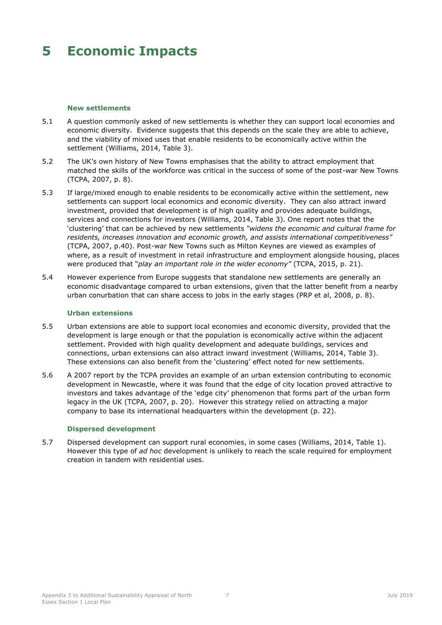## <span id="page-11-0"></span>**5 Economic Impacts**

#### **New settlements**

- 5.1 A question commonly asked of new settlements is whether they can support local economies and economic diversity. Evidence suggests that this depends on the scale they are able to achieve, and the viability of mixed uses that enable residents to be economically active within the settlement (Williams, 2014, Table 3).
- 5.2 The UK's own history of New Towns emphasises that the ability to attract employment that matched the skills of the workforce was critical in the success of some of the post-war New Towns (TCPA, 2007, p. 8).
- 5.3 If large/mixed enough to enable residents to be economically active within the settlement, new settlements can support local economics and economic diversity. They can also attract inward investment, provided that development is of high quality and provides adequate buildings, services and connections for investors (Williams, 2014, Table 3). One report notes that the 'clustering' that can be achieved by new settlements *"widens the economic and cultural frame for residents, increases innovation and economic growth, and assists international competitiveness"*  (TCPA, 2007, p.40). Post-war New Towns such as Milton Keynes are viewed as examples of where, as a result of investment in retail infrastructure and employment alongside housing, places were produced that "*play an important role in the wider economy"* (TCPA, 2015, p. 21).
- 5.4 However experience from Europe suggests that standalone new settlements are generally an economic disadvantage compared to urban extensions, given that the latter benefit from a nearby urban conurbation that can share access to jobs in the early stages (PRP et al, 2008, p. 8).

#### **Urban extensions**

- 5.5 Urban extensions are able to support local economies and economic diversity, provided that the development is large enough or that the population is economically active within the adjacent settlement. Provided with high quality development and adequate buildings, services and connections, urban extensions can also attract inward investment (Williams, 2014, Table 3). These extensions can also benefit from the 'clustering' effect noted for new settlements.
- 5.6 A 2007 report by the TCPA provides an example of an urban extension contributing to economic development in Newcastle, where it was found that the edge of city location proved attractive to investors and takes advantage of the 'edge city' phenomenon that forms part of the urban form legacy in the UK (TCPA, 2007, p. 20). However this strategy relied on attracting a major company to base its international headquarters within the development (p. 22).

### **Dispersed development**

5.7 Dispersed development can support rural economies, in some cases (Williams, 2014, Table 1). However this type of *ad hoc* development is unlikely to reach the scale required for employment creation in tandem with residential uses.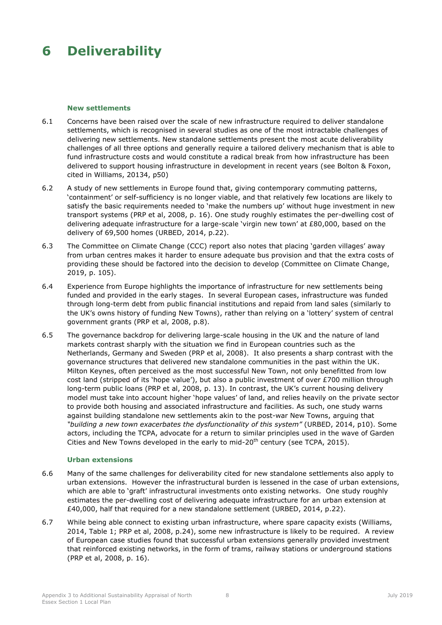## <span id="page-12-0"></span>**6 Deliverability**

#### **New settlements**

- 6.1 Concerns have been raised over the scale of new infrastructure required to deliver standalone settlements, which is recognised in several studies as one of the most intractable challenges of delivering new settlements. New standalone settlements present the most acute deliverability challenges of all three options and generally require a tailored delivery mechanism that is able to fund infrastructure costs and would constitute a radical break from how infrastructure has been delivered to support housing infrastructure in development in recent years (see Bolton & Foxon, cited in Williams, 20134, p50)
- 6.2 A study of new settlements in Europe found that, giving contemporary commuting patterns, 'containment' or self-sufficiency is no longer viable, and that relatively few locations are likely to satisfy the basic requirements needed to 'make the numbers up' without huge investment in new transport systems (PRP et al, 2008, p. 16). One study roughly estimates the per-dwelling cost of delivering adequate infrastructure for a large-scale 'virgin new town' at £80,000, based on the delivery of 69,500 homes (URBED, 2014, p.22).
- 6.3 The Committee on Climate Change (CCC) report also notes that placing 'garden villages' away from urban centres makes it harder to ensure adequate bus provision and that the extra costs of providing these should be factored into the decision to develop (Committee on Climate Change, 2019, p. 105).
- 6.4 Experience from Europe highlights the importance of infrastructure for new settlements being funded and provided in the early stages. In several European cases, infrastructure was funded through long-term debt from public financial institutions and repaid from land sales (similarly to the UK's owns history of funding New Towns), rather than relying on a 'lottery' system of central government grants (PRP et al, 2008, p.8).
- 6.5 The governance backdrop for delivering large-scale housing in the UK and the nature of land markets contrast sharply with the situation we find in European countries such as the Netherlands, Germany and Sweden (PRP et al, 2008). It also presents a sharp contrast with the governance structures that delivered new standalone communities in the past within the UK. Milton Keynes, often perceived as the most successful New Town, not only benefitted from low cost land (stripped of its 'hope value'), but also a public investment of over £700 million through long-term public loans (PRP et al, 2008, p. 13). In contrast, the UK's current housing delivery model must take into account higher 'hope values' of land, and relies heavily on the private sector to provide both housing and associated infrastructure and facilities. As such, one study warns against building standalone new settlements akin to the post-war New Towns, arguing that *"building a new town exacerbates the dysfunctionality of this system"* (URBED, 2014, p10). Some actors, including the TCPA, advocate for a return to similar principles used in the wave of Garden Cities and New Towns developed in the early to mid-20<sup>th</sup> century (see TCPA, 2015).

### **Urban extensions**

- 6.6 Many of the same challenges for deliverability cited for new standalone settlements also apply to urban extensions. However the infrastructural burden is lessened in the case of urban extensions, which are able to 'graft' infrastructural investments onto existing networks. One study roughly estimates the per-dwelling cost of delivering adequate infrastructure for an urban extension at £40,000, half that required for a new standalone settlement (URBED, 2014, p.22).
- 6.7 While being able connect to existing urban infrastructure, where spare capacity exists (Williams, 2014, Table 1; PRP et al, 2008, p.24), some new infrastructure is likely to be required. A review of European case studies found that successful urban extensions generally provided investment that reinforced existing networks, in the form of trams, railway stations or underground stations (PRP et al, 2008, p. 16).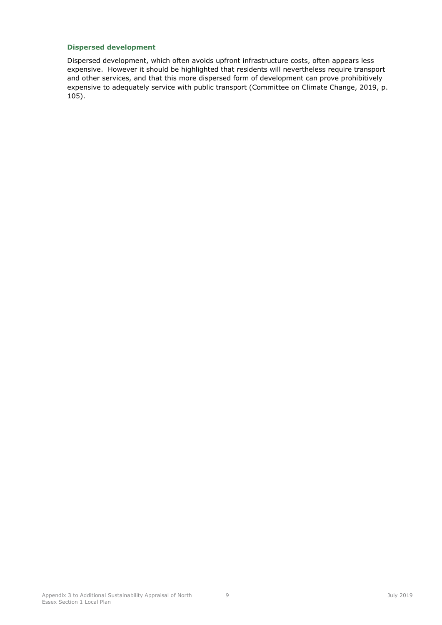### **Dispersed development**

Dispersed development, which often avoids upfront infrastructure costs, often appears less expensive. However it should be highlighted that residents will nevertheless require transport and other services, and that this more dispersed form of development can prove prohibitively expensive to adequately service with public transport (Committee on Climate Change, 2019, p. 105).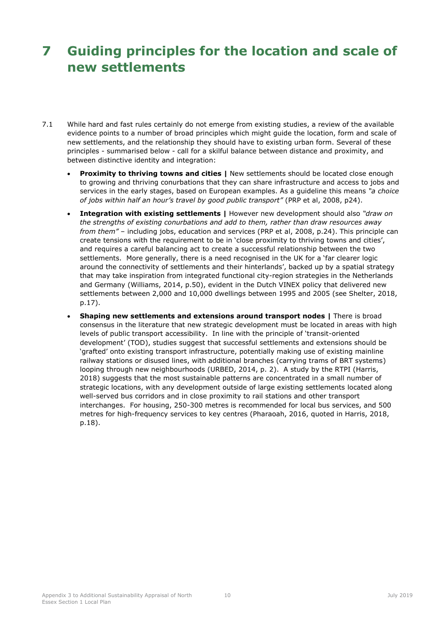# <span id="page-14-0"></span>**7 Guiding principles for the location and scale of new settlements**

- 7.1 While hard and fast rules certainly do not emerge from existing studies, a review of the available evidence points to a number of broad principles which might guide the location, form and scale of new settlements, and the relationship they should have to existing urban form. Several of these principles - summarised below - call for a skilful balance between distance and proximity, and between distinctive identity and integration:
	- **Proximity to thriving towns and cities | New settlements should be located close enough** to growing and thriving conurbations that they can share infrastructure and access to jobs and services in the early stages, based on European examples. As a guideline this means *"a choice of jobs within half an hour's travel by good public transport"* (PRP et al, 2008, p24).
	- **Integration with existing settlements |** However new development should also *"draw on the strengths of existing conurbations and add to them, rather than draw resources away from them"* – including jobs, education and services (PRP et al, 2008, p.24). This principle can create tensions with the requirement to be in 'close proximity to thriving towns and cities', and requires a careful balancing act to create a successful relationship between the two settlements. More generally, there is a need recognised in the UK for a 'far clearer logic around the connectivity of settlements and their hinterlands', backed up by a spatial strategy that may take inspiration from integrated functional city-region strategies in the Netherlands and Germany (Williams, 2014, p.50), evident in the Dutch VINEX policy that delivered new settlements between 2,000 and 10,000 dwellings between 1995 and 2005 (see Shelter, 2018, p.17).
	- **Shaping new settlements and extensions around transport nodes |** There is broad consensus in the literature that new strategic development must be located in areas with high levels of public transport accessibility. In line with the principle of 'transit-oriented development' (TOD), studies suggest that successful settlements and extensions should be 'grafted' onto existing transport infrastructure, potentially making use of existing mainline railway stations or disused lines, with additional branches (carrying trams of BRT systems) looping through new neighbourhoods (URBED, 2014, p. 2). A study by the RTPI (Harris, 2018) suggests that the most sustainable patterns are concentrated in a small number of strategic locations, with any development outside of large existing settlements located along well-served bus corridors and in close proximity to rail stations and other transport interchanges. For housing, 250-300 metres is recommended for local bus services, and 500 metres for high-frequency services to key centres (Pharaoah, 2016, quoted in Harris, 2018, p.18).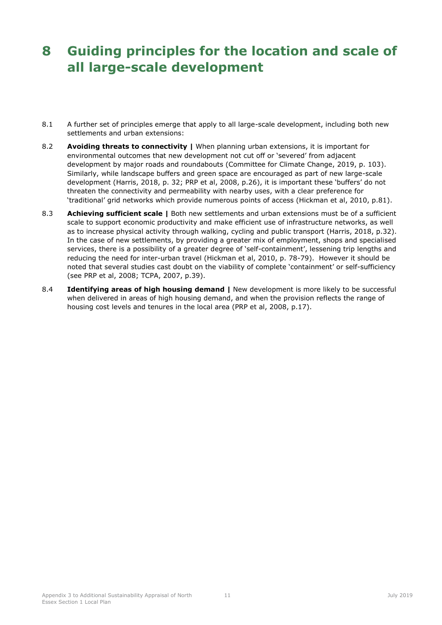# <span id="page-15-0"></span>**8 Guiding principles for the location and scale of all large-scale development**

- 8.1 A further set of principles emerge that apply to all large-scale development, including both new settlements and urban extensions:
- 8.2 **Avoiding threats to connectivity |** When planning urban extensions, it is important for environmental outcomes that new development not cut off or 'severed' from adjacent development by major roads and roundabouts (Committee for Climate Change, 2019, p. 103). Similarly, while landscape buffers and green space are encouraged as part of new large-scale development (Harris, 2018, p. 32; PRP et al, 2008, p.26), it is important these 'buffers' do not threaten the connectivity and permeability with nearby uses, with a clear preference for 'traditional' grid networks which provide numerous points of access (Hickman et al, 2010, p.81).
- 8.3 **Achieving sufficient scale |** Both new settlements and urban extensions must be of a sufficient scale to support economic productivity and make efficient use of infrastructure networks, as well as to increase physical activity through walking, cycling and public transport (Harris, 2018, p.32). In the case of new settlements, by providing a greater mix of employment, shops and specialised services, there is a possibility of a greater degree of 'self-containment', lessening trip lengths and reducing the need for inter-urban travel (Hickman et al, 2010, p. 78-79). However it should be noted that several studies cast doubt on the viability of complete 'containment' or self-sufficiency (see PRP et al, 2008; TCPA, 2007, p.39).
- 8.4 **Identifying areas of high housing demand |** New development is more likely to be successful when delivered in areas of high housing demand, and when the provision reflects the range of housing cost levels and tenures in the local area (PRP et al, 2008, p.17).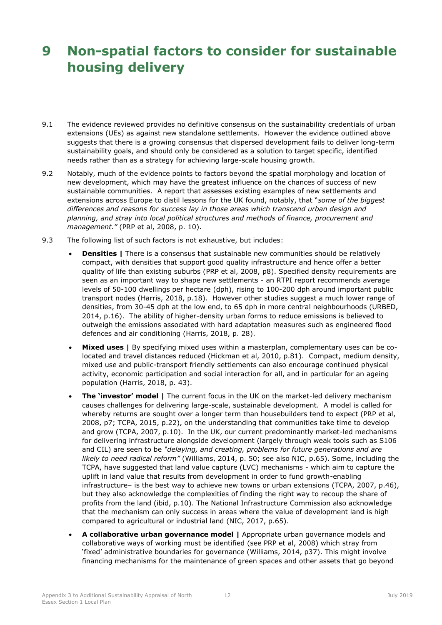# <span id="page-16-0"></span>**9 Non-spatial factors to consider for sustainable housing delivery**

- 9.1 The evidence reviewed provides no definitive consensus on the sustainability credentials of urban extensions (UEs) as against new standalone settlements. However the evidence outlined above suggests that there is a growing consensus that dispersed development fails to deliver long-term sustainability goals, and should only be considered as a solution to target specific, identified needs rather than as a strategy for achieving large-scale housing growth.
- 9.2 Notably, much of the evidence points to factors beyond the spatial morphology and location of new development, which may have the greatest influence on the chances of success of new sustainable communities. A report that assesses existing examples of new settlements and extensions across Europe to distil lessons for the UK found, notably, that "*some of the biggest differences and reasons for success lay in those areas which transcend urban design and planning, and stray into local political structures and methods of finance, procurement and management."* (PRP et al, 2008, p. 10).
- 9.3 The following list of such factors is not exhaustive, but includes:
	- **Densities |** There is a consensus that sustainable new communities should be relatively compact, with densities that support good quality infrastructure and hence offer a better quality of life than existing suburbs (PRP et al, 2008, p8). Specified density requirements are seen as an important way to shape new settlements - an RTPI report recommends average levels of 50-100 dwellings per hectare (dph), rising to 100-200 dph around important public transport nodes (Harris, 2018, p.18). However other studies suggest a much lower range of densities, from 30-45 dph at the low end, to 65 dph in more central neighbourhoods (URBED, 2014, p.16). The ability of higher-density urban forms to reduce emissions is believed to outweigh the emissions associated with hard adaptation measures such as engineered flood defences and air conditioning (Harris, 2018, p. 28).
	- **Mixed uses |** By specifying mixed uses within a masterplan, complementary uses can be colocated and travel distances reduced (Hickman et al, 2010, p.81). Compact, medium density, mixed use and public-transport friendly settlements can also encourage continued physical activity, economic participation and social interaction for all, and in particular for an ageing population (Harris, 2018, p. 43).
	- **The 'investor' model |** The current focus in the UK on the market-led delivery mechanism causes challenges for delivering large-scale, sustainable development. A model is called for whereby returns are sought over a longer term than housebuilders tend to expect (PRP et al, 2008, p7; TCPA, 2015, p.22), on the understanding that communities take time to develop and grow (TCPA, 2007, p.10). In the UK, our current predominantly market-led mechanisms for delivering infrastructure alongside development (largely through weak tools such as S106 and CIL) are seen to be *"delaying, and creating, problems for future generations and are likely to need radical reform"* (Williams, 2014, p. 50; see also NIC, p.65). Some, including the TCPA, have suggested that land value capture (LVC) mechanisms - which aim to capture the uplift in land value that results from development in order to fund growth-enabling infrastructure– is the best way to achieve new towns or urban extensions (TCPA, 2007, p.46), but they also acknowledge the complexities of finding the right way to recoup the share of profits from the land (ibid, p.10). The National Infrastructure Commission also acknowledge that the mechanism can only success in areas where the value of development land is high compared to agricultural or industrial land (NIC, 2017, p.65).
	- **A collaborative urban governance model |** Appropriate urban governance models and collaborative ways of working must be identified (see PRP et al, 2008) which stray from 'fixed' administrative boundaries for governance (Williams, 2014, p37). This might involve financing mechanisms for the maintenance of green spaces and other assets that go beyond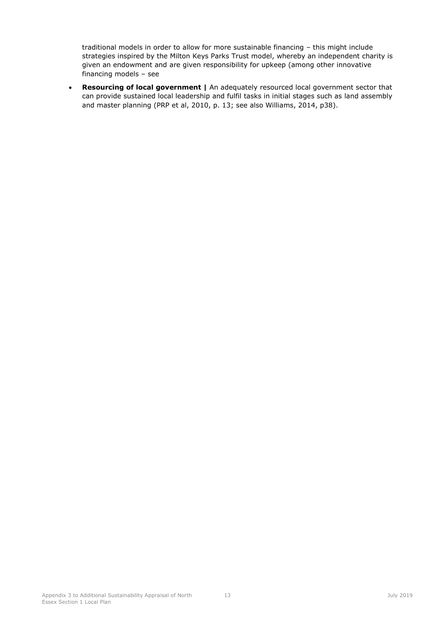traditional models in order to allow for more sustainable financing – this might include strategies inspired by the Milton Keys Parks Trust model, whereby an independent charity is given an endowment and are given responsibility for upkeep (among other innovative financing models – see

 **Resourcing of local government |** An adequately resourced local government sector that can provide sustained local leadership and fulfil tasks in initial stages such as land assembly and master planning (PRP et al, 2010, p. 13; see also Williams, 2014, p38).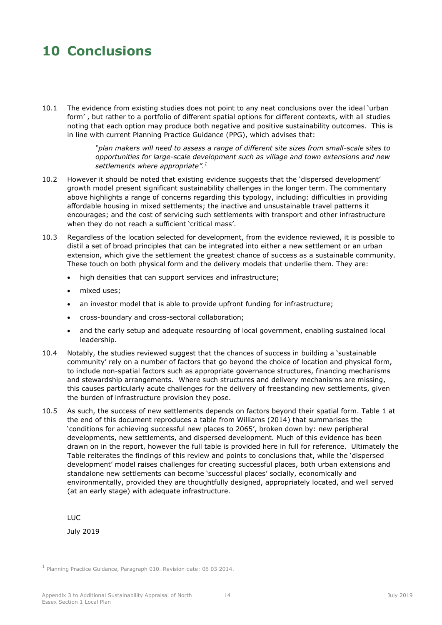## <span id="page-18-0"></span>**10 Conclusions**

10.1 The evidence from existing studies does not point to any neat conclusions over the ideal 'urban form' , but rather to a portfolio of different spatial options for different contexts, with all studies noting that each option may produce both negative and positive sustainability outcomes. This is in line with current Planning Practice Guidance (PPG), which advises that:

> *"plan makers will need to assess a range of different site sizes from small-scale sites to opportunities for large-scale development such as village and town extensions and new settlements where appropriate".<sup>1</sup>*

- 10.2 However it should be noted that existing evidence suggests that the 'dispersed development' growth model present significant sustainability challenges in the longer term. The commentary above highlights a range of concerns regarding this typology, including: difficulties in providing affordable housing in mixed settlements; the inactive and unsustainable travel patterns it encourages; and the cost of servicing such settlements with transport and other infrastructure when they do not reach a sufficient 'critical mass'.
- 10.3 Regardless of the location selected for development, from the evidence reviewed, it is possible to distil a set of broad principles that can be integrated into either a new settlement or an urban extension, which give the settlement the greatest chance of success as a sustainable community. These touch on both physical form and the delivery models that underlie them. They are:
	- high densities that can support services and infrastructure;
	- mixed uses:
	- an investor model that is able to provide upfront funding for infrastructure;
	- cross-boundary and cross-sectoral collaboration;
	- and the early setup and adequate resourcing of local government, enabling sustained local leadership.
- 10.4 Notably, the studies reviewed suggest that the chances of success in building a 'sustainable community' rely on a number of factors that go beyond the choice of location and physical form, to include non-spatial factors such as appropriate governance structures, financing mechanisms and stewardship arrangements. Where such structures and delivery mechanisms are missing, this causes particularly acute challenges for the delivery of freestanding new settlements, given the burden of infrastructure provision they pose.
- 10.5 As such, the success of new settlements depends on factors beyond their spatial form. Table 1 at the end of this document reproduces a table from Williams (2014) that summarises the 'conditions for achieving successful new places to 2065', broken down by: new peripheral developments, new settlements, and dispersed development. Much of this evidence has been drawn on in the report, however the full table is provided here in full for reference. Ultimately the Table reiterates the findings of this review and points to conclusions that, while the 'dispersed development' model raises challenges for creating successful places, both urban extensions and standalone new settlements can become 'successful places' socially, economically and environmentally, provided they are thoughtfully designed, appropriately located, and well served (at an early stage) with adequate infrastructure.

LUC

-

July 2019

<sup>1</sup> Planning Practice Guidance, Paragraph 010. Revision date: 06 03 2014.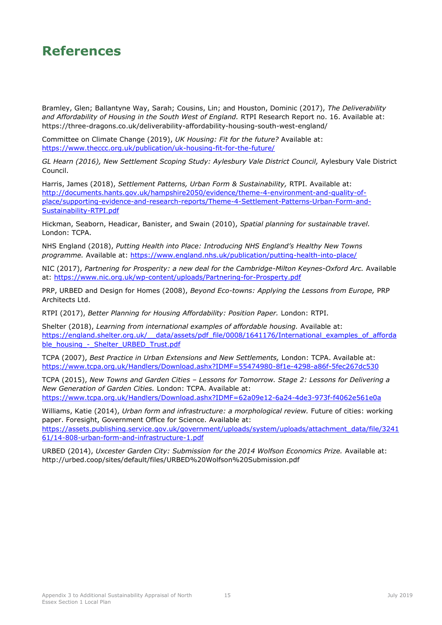### <span id="page-19-0"></span>**References**

Bramley, Glen; Ballantyne Way, Sarah; Cousins, Lin; and Houston, Dominic (2017), *The Deliverability and Affordability of Housing in the South West of England.* RTPI Research Report no. 16. Available at: https://three-dragons.co.uk/deliverability-affordability-housing-south-west-england/

Committee on Climate Change (2019), *UK Housing: Fit for the future?* Available at: <https://www.theccc.org.uk/publication/uk-housing-fit-for-the-future/>

GL Hearn (2016), New Settlement Scoping Study: Aylesbury Vale District Council, Aylesbury Vale District Council.

Harris, James (2018), *Settlement Patterns, Urban Form & Sustainability,* RTPI. Available at: [http://documents.hants.gov.uk/hampshire2050/evidence/theme-4-environment-and-quality-of](http://documents.hants.gov.uk/hampshire2050/evidence/theme-4-environment-and-quality-of-place/supporting-evidence-and-research-reports/Theme-4-Settlement-Patterns-Urban-Form-and-Sustainability-RTPI.pdf)[place/supporting-evidence-and-research-reports/Theme-4-Settlement-Patterns-Urban-Form-and-](http://documents.hants.gov.uk/hampshire2050/evidence/theme-4-environment-and-quality-of-place/supporting-evidence-and-research-reports/Theme-4-Settlement-Patterns-Urban-Form-and-Sustainability-RTPI.pdf)[Sustainability-RTPI.pdf](http://documents.hants.gov.uk/hampshire2050/evidence/theme-4-environment-and-quality-of-place/supporting-evidence-and-research-reports/Theme-4-Settlement-Patterns-Urban-Form-and-Sustainability-RTPI.pdf)

Hickman, Seaborn, Headicar, Banister, and Swain (2010), *Spatial planning for sustainable travel.*  London: TCPA.

NHS England (2018), *Putting Health into Place: Introducing NHS England's Healthy New Towns programme.* Available at: https://www.england.nhs.uk/publication/putting-health-into-place/

NIC (2017), *Partnering for Prosperity: a new deal for the Cambridge-Milton Keynes-Oxford Arc.* Available at:<https://www.nic.org.uk/wp-content/uploads/Partnering-for-Prosperty.pdf>

PRP, URBED and Design for Homes (2008), *Beyond Eco-towns: Applying the Lessons from Europe,* PRP Architects Ltd.

RTPI (2017), *Better Planning for Housing Affordability: Position Paper.* London: RTPI.

Shelter (2018), *Learning from international examples of affordable housing.* Available at: https://england.shelter.org.uk/ data/assets/pdf file/0008/1641176/International examples of afforda ble\_housing - Shelter\_URBED\_Trust.pdf

TCPA (2007), *Best Practice in Urban Extensions and New Settlements,* London: TCPA. Available at: <https://www.tcpa.org.uk/Handlers/Download.ashx?IDMF=55474980-8f1e-4298-a86f-5fec267dc530>

TCPA (2015), *New Towns and Garden Cities – Lessons for Tomorrow. Stage 2: Lessons for Delivering a New Generation of Garden Cities.* London: TCPA. Available at:

<https://www.tcpa.org.uk/Handlers/Download.ashx?IDMF=62a09e12-6a24-4de3-973f-f4062e561e0a>

Williams, Katie (2014), *Urban form and infrastructure: a morphological review.* Future of cities: working paper. Foresight, Government Office for Science. Available at: [https://assets.publishing.service.gov.uk/government/uploads/system/uploads/attachment\\_data/file/3241](https://assets.publishing.service.gov.uk/government/uploads/system/uploads/attachment_data/file/324161/14-808-urban-form-and-infrastructure-1.pdf) [61/14-808-urban-form-and-infrastructure-1.pdf](https://assets.publishing.service.gov.uk/government/uploads/system/uploads/attachment_data/file/324161/14-808-urban-form-and-infrastructure-1.pdf)

URBED (2014), *Uxcester Garden City: Submission for the 2014 Wolfson Economics Prize.* Available at: http://urbed.coop/sites/default/files/URBED%20Wolfson%20Submission.pdf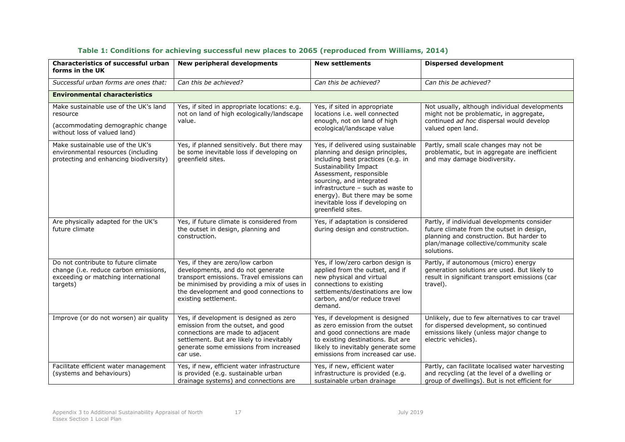| <b>Characteristics of successful urban</b><br>forms in the UK                                                                   | New peripheral developments                                                                                                                                                                                                         | <b>New settlements</b>                                                                                                                                                                                                                                                                                                      | <b>Dispersed development</b>                                                                                                                                                                 |
|---------------------------------------------------------------------------------------------------------------------------------|-------------------------------------------------------------------------------------------------------------------------------------------------------------------------------------------------------------------------------------|-----------------------------------------------------------------------------------------------------------------------------------------------------------------------------------------------------------------------------------------------------------------------------------------------------------------------------|----------------------------------------------------------------------------------------------------------------------------------------------------------------------------------------------|
| Successful urban forms are ones that:                                                                                           | Can this be achieved?                                                                                                                                                                                                               | Can this be achieved?                                                                                                                                                                                                                                                                                                       | Can this be achieved?                                                                                                                                                                        |
| <b>Environmental characteristics</b>                                                                                            |                                                                                                                                                                                                                                     |                                                                                                                                                                                                                                                                                                                             |                                                                                                                                                                                              |
| Make sustainable use of the UK's land<br>resource<br>(accommodating demographic change<br>without loss of valued land)          | Yes, if sited in appropriate locations: e.g.<br>not on land of high ecologically/landscape<br>value.                                                                                                                                | Yes, if sited in appropriate<br>locations i.e. well connected<br>enough, not on land of high<br>ecological/landscape value                                                                                                                                                                                                  | Not usually, although individual developments<br>might not be problematic, in aggregate,<br>continued ad hoc dispersal would develop<br>valued open land.                                    |
| Make sustainable use of the UK's<br>environmental resources (including<br>protecting and enhancing biodiversity)                | Yes, if planned sensitively. But there may<br>be some inevitable loss if developing on<br>greenfield sites.                                                                                                                         | Yes, if delivered using sustainable<br>planning and design principles,<br>including best practices (e.g. in<br>Sustainability Impact<br>Assessment, responsible<br>sourcing, and integrated<br>infrastructure - such as waste to<br>energy). But there may be some<br>inevitable loss if developing on<br>greenfield sites. | Partly, small scale changes may not be<br>problematic, but in aggregate are inefficient<br>and may damage biodiversity.                                                                      |
| Are physically adapted for the UK's<br>future climate                                                                           | Yes, if future climate is considered from<br>the outset in design, planning and<br>construction.                                                                                                                                    | Yes, if adaptation is considered<br>during design and construction.                                                                                                                                                                                                                                                         | Partly, if individual developments consider<br>future climate from the outset in design,<br>planning and construction. But harder to<br>plan/manage collective/community scale<br>solutions. |
| Do not contribute to future climate<br>change (i.e. reduce carbon emissions,<br>exceeding or matching international<br>targets) | Yes, if they are zero/low carbon<br>developments, and do not generate<br>transport emissions. Travel emissions can<br>be minimised by providing a mix of uses in<br>the development and good connections to<br>existing settlement. | Yes, if low/zero carbon design is<br>applied from the outset, and if<br>new physical and virtual<br>connections to existing<br>settlements/destinations are low<br>carbon, and/or reduce travel<br>demand.                                                                                                                  | Partly, if autonomous (micro) energy<br>generation solutions are used. But likely to<br>result in significant transport emissions (car<br>travel).                                           |
| Improve (or do not worsen) air quality                                                                                          | Yes, if development is designed as zero<br>emission from the outset, and good<br>connections are made to adjacent<br>settlement. But are likely to inevitably<br>generate some emissions from increased<br>car use.                 | Yes, if development is designed<br>as zero emission from the outset<br>and good connections are made<br>to existing destinations. But are<br>likely to inevitably generate some<br>emissions from increased car use.                                                                                                        | Unlikely, due to few alternatives to car travel<br>for dispersed development, so continued<br>emissions likely (unless major change to<br>electric vehicles).                                |
| Facilitate efficient water management<br>(systems and behaviours)                                                               | Yes, if new, efficient water infrastructure<br>is provided (e.g. sustainable urban<br>drainage systems) and connections are                                                                                                         | Yes, if new, efficient water<br>infrastructure is provided (e.g.<br>sustainable urban drainage                                                                                                                                                                                                                              | Partly, can facilitate localised water harvesting<br>and recycling (at the level of a dwelling or<br>group of dwellings). But is not efficient for                                           |

### **Table 1: Conditions for achieving successful new places to 2065 (reproduced from Williams, 2014)**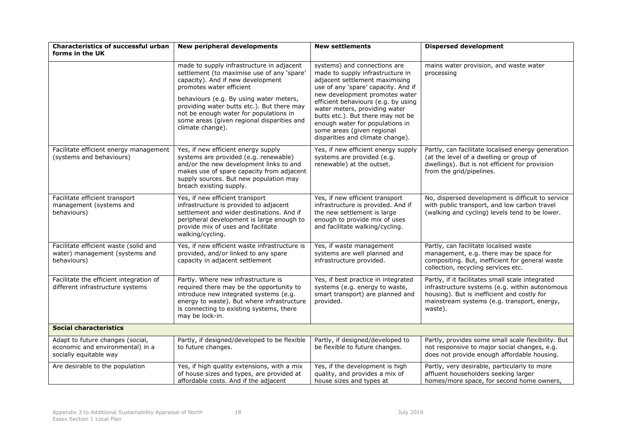| Characteristics of successful urban<br>forms in the UK                                         | New peripheral developments                                                                                                                                                                                                                                                                                                                                   | <b>New settlements</b>                                                                                                                                                                                                                                                                                                                                                                        | <b>Dispersed development</b>                                                                                                                                                                                |  |
|------------------------------------------------------------------------------------------------|---------------------------------------------------------------------------------------------------------------------------------------------------------------------------------------------------------------------------------------------------------------------------------------------------------------------------------------------------------------|-----------------------------------------------------------------------------------------------------------------------------------------------------------------------------------------------------------------------------------------------------------------------------------------------------------------------------------------------------------------------------------------------|-------------------------------------------------------------------------------------------------------------------------------------------------------------------------------------------------------------|--|
|                                                                                                | made to supply infrastructure in adjacent<br>settlement (to maximise use of any 'spare'<br>capacity). And if new development<br>promotes water efficient<br>behaviours (e.g. By using water meters,<br>providing water butts etc.). But there may<br>not be enough water for populations in<br>some areas (given regional disparities and<br>climate change). | systems) and connections are<br>made to supply infrastructure in<br>adjacent settlement maximising<br>use of any 'spare' capacity. And if<br>new development promotes water<br>efficient behaviours (e.g. by using<br>water meters, providing water<br>butts etc.). But there may not be<br>enough water for populations in<br>some areas (given regional<br>disparities and climate change). | mains water provision, and waste water<br>processing                                                                                                                                                        |  |
| Facilitate efficient energy management<br>(systems and behaviours)                             | Yes, if new efficient energy supply<br>systems are provided (e.g. renewable)<br>and/or the new development links to and<br>makes use of spare capacity from adjacent<br>supply sources. But new population may<br>breach existing supply.                                                                                                                     | Yes, if new efficient energy supply<br>systems are provided (e.g.<br>renewable) at the outset.                                                                                                                                                                                                                                                                                                | Partly, can facilitate localised energy generation<br>(at the level of a dwelling or group of<br>dwellings). But is not efficient for provision<br>from the grid/pipelines.                                 |  |
| Facilitate efficient transport<br>management (systems and<br>behaviours)                       | Yes, if new efficient transport<br>infrastructure is provided to adjacent<br>settlement and wider destinations. And if<br>peripheral development is large enough to<br>provide mix of uses and facilitate<br>walking/cycling.                                                                                                                                 | Yes, if new efficient transport<br>infrastructure is provided. And if<br>the new settlement is large<br>enough to provide mix of uses<br>and facilitate walking/cycling.                                                                                                                                                                                                                      | No, dispersed development is difficult to service<br>with public transport, and low carbon travel<br>(walking and cycling) levels tend to be lower.                                                         |  |
| Facilitate efficient waste (solid and<br>water) management (systems and<br>behaviours)         | Yes, if new efficient waste infrastructure is<br>provided, and/or linked to any spare<br>capacity in adjacent settlement                                                                                                                                                                                                                                      | Yes, if waste management<br>systems are well planned and<br>infrastructure provided.                                                                                                                                                                                                                                                                                                          | Partly, can facilitate localised waste<br>management, e.g. there may be space for<br>compositing. But, inefficient for general waste<br>collection, recycling services etc.                                 |  |
| Facilitate the efficient integration of<br>different infrastructure systems                    | Partly. Where new infrastructure is<br>required there may be the opportunity to<br>introduce new integrated systems (e.g.<br>energy to waste). But where infrastructure<br>is connecting to existing systems, there<br>may be lock-in.                                                                                                                        | Yes, if best practice in integrated<br>systems (e.g. energy to waste,<br>smart transport) are planned and<br>provided.                                                                                                                                                                                                                                                                        | Partly, if it facilitates small scale integrated<br>infrastructure systems (e.g. within autonomous<br>housing). But is inefficient and costly for<br>mainstream systems (e.g. transport, energy,<br>waste). |  |
| <b>Social characteristics</b>                                                                  |                                                                                                                                                                                                                                                                                                                                                               |                                                                                                                                                                                                                                                                                                                                                                                               |                                                                                                                                                                                                             |  |
| Adapt to future changes (social,<br>economic and environmental) in a<br>socially equitable way | Partly, if designed/developed to be flexible<br>to future changes.                                                                                                                                                                                                                                                                                            | Partly, if designed/developed to<br>be flexible to future changes.                                                                                                                                                                                                                                                                                                                            | Partly, provides some small scale flexibility. But<br>not responsive to major social changes, e.g.<br>does not provide enough affordable housing.                                                           |  |
| Are desirable to the population                                                                | Yes, if high quality extensions, with a mix<br>of house sizes and types, are provided at<br>affordable costs. And if the adjacent                                                                                                                                                                                                                             | Yes, if the development is high<br>quality, and provides a mix of<br>house sizes and types at                                                                                                                                                                                                                                                                                                 | Partly, very desirable, particularly to more<br>affluent householders seeking larger<br>homes/more space, for second home owners,                                                                           |  |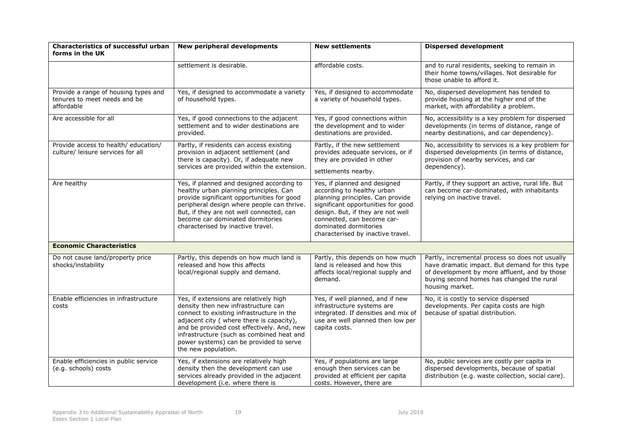| Characteristics of successful urban<br>forms in the UK                             | <b>New peripheral developments</b>                                                                                                                                                                                                                                                                                                  | <b>New settlements</b>                                                                                                                                                                                                                                                | <b>Dispersed development</b>                                                                                                                                                                                       |  |
|------------------------------------------------------------------------------------|-------------------------------------------------------------------------------------------------------------------------------------------------------------------------------------------------------------------------------------------------------------------------------------------------------------------------------------|-----------------------------------------------------------------------------------------------------------------------------------------------------------------------------------------------------------------------------------------------------------------------|--------------------------------------------------------------------------------------------------------------------------------------------------------------------------------------------------------------------|--|
|                                                                                    | settlement is desirable.                                                                                                                                                                                                                                                                                                            | affordable costs.                                                                                                                                                                                                                                                     | and to rural residents, seeking to remain in<br>their home towns/villages. Not desirable for<br>those unable to afford it.                                                                                         |  |
| Provide a range of housing types and<br>tenures to meet needs and be<br>affordable | Yes, if designed to accommodate a variety<br>of household types.                                                                                                                                                                                                                                                                    | Yes, if designed to accommodate<br>a variety of household types.                                                                                                                                                                                                      | No, dispersed development has tended to<br>provide housing at the higher end of the<br>market, with affordability a problem.                                                                                       |  |
| Are accessible for all                                                             | Yes, if good connections to the adjacent<br>settlement and to wider destinations are<br>provided.                                                                                                                                                                                                                                   | Yes, if good connections within<br>the development and to wider<br>destinations are provided.                                                                                                                                                                         | No, accessibility is a key problem for dispersed<br>developments (in terms of distance, range of<br>nearby destinations, and car dependency).                                                                      |  |
| Provide access to health/ education/<br>culture/ leisure services for all          | Partly, if residents can access existing<br>provision in adjacent settlement (and<br>there is capacity). Or, if adequate new<br>services are provided within the extension.                                                                                                                                                         | Partly, if the new settlement<br>provides adequate services, or if<br>they are provided in other<br>settlements nearby.                                                                                                                                               | No, accessibility to services is a key problem for<br>dispersed developments (in terms of distance,<br>provision of nearby services, and car<br>dependency).                                                       |  |
| Are healthy                                                                        | Yes, if planned and designed according to<br>healthy urban planning principles. Can<br>provide significant opportunities for good<br>peripheral design where people can thrive.<br>But, if they are not well connected, can<br>become car dominated dormitories<br>characterised by inactive travel.                                | Yes, if planned and designed<br>according to healthy urban<br>planning principles. Can provide<br>significant opportunities for good<br>design. But, if they are not well<br>connected, can become car-<br>dominated dormitories<br>characterised by inactive travel. | Partly, if they support an active, rural life. But<br>can become car-dominated, with inhabitants<br>relying on inactive travel.                                                                                    |  |
| <b>Economic Characteristics</b>                                                    |                                                                                                                                                                                                                                                                                                                                     |                                                                                                                                                                                                                                                                       |                                                                                                                                                                                                                    |  |
| Do not cause land/property price<br>shocks/instability                             | Partly, this depends on how much land is<br>released and how this affects<br>local/regional supply and demand.                                                                                                                                                                                                                      | Partly, this depends on how much<br>land is released and how this<br>affects local/regional supply and<br>demand.                                                                                                                                                     | Partly, incremental process so does not usually<br>have dramatic impact. But demand for this type<br>of development by more affluent, and by those<br>buying second homes has changed the rural<br>housing market. |  |
| Enable efficiencies in infrastructure<br>costs                                     | Yes, if extensions are relatively high<br>density then new infrastructure can<br>connect to existing infrastructure in the<br>adjacent city (where there is capacity),<br>and be provided cost effectively. And, new<br>infrastructure (such as combined heat and<br>power systems) can be provided to serve<br>the new population. | Yes, if well planned, and if new<br>infrastructure systems are<br>integrated. If densities and mix of<br>use are well planned then low per<br>capita costs.                                                                                                           | No, it is costly to service dispersed<br>developments. Per capita costs are high<br>because of spatial distribution.                                                                                               |  |
| Enable efficiencies in public service<br>(e.g. schools) costs                      | Yes, if extensions are relatively high<br>density then the development can use<br>services already provided in the adjacent<br>development (i.e. where there is                                                                                                                                                                     | Yes, if populations are large<br>enough then services can be<br>provided at efficient per capita<br>costs. However, there are                                                                                                                                         | No, public services are costly per capita in<br>dispersed developments, because of spatial<br>distribution (e.g. waste collection, social care).                                                                   |  |